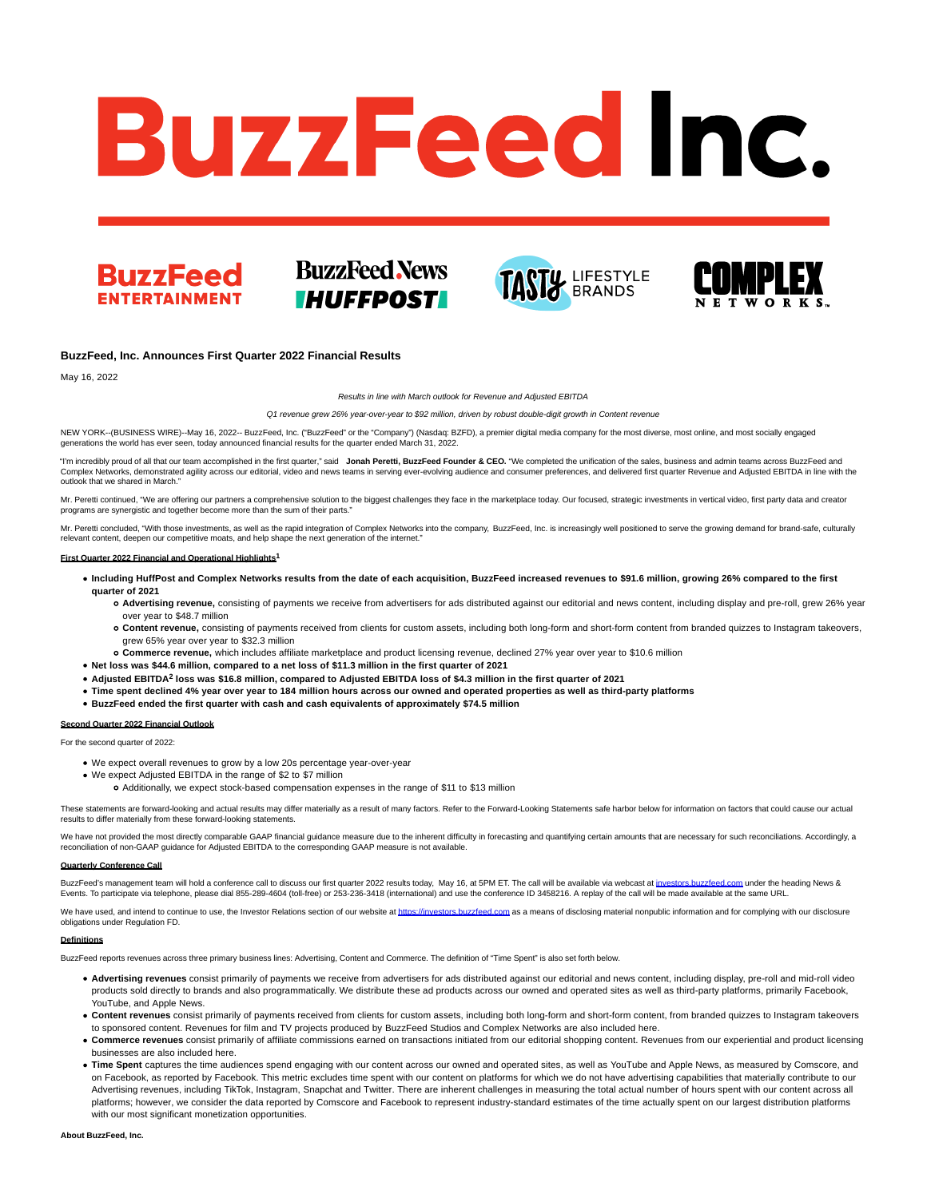# **BuzzFeed Inc.**



# **BuzzFeed News IHUFFPOST**





### **BuzzFeed, Inc. Announces First Quarter 2022 Financial Results**

May 16, 2022

Results in line with March outlook for Revenue and Adjusted EBITDA

Q1 revenue grew 26% year-over-year to \$92 million, driven by robust double-digit growth in Content revenue

NEW YORK--(BUSINESS WIRE)--May 16, 2022-- BuzzFeed, Inc. ("BuzzFeed" or the "Company") (Nasdaq: BZFD), a premier digital media company for the most diverse, most online, and most socially engaged generations the world has ever seen, today announced financial results for the quarter ended March 31, 2022.

"I'm incredibly proud of all that our team accomplished in the first quarter," said **Jonah Peretti, BuzzFeed Founder & CEO.** "We completed the unification of the sales, business and admin teams across BuzzFeed and Complex Networks, demonstrated agility across our editorial, video and news teams in serving ever-evolving audience and consumer preferences, and delivered first quarter Revenue and Adjusted EBITDA in line with the outlook that we shared in March."

Mr. Peretti continued, "We are offering our partners a comprehensive solution to the biggest challenges they face in the marketplace today. Our focused, strategic investments in vertical video, first party data and creator programs are synergistic and together become more than the sum of their parts."

Mr. Peretti concluded, "With those investments, as well as the rapid integration of Complex Networks into the company, BuzzFeed, Inc. is increasingly well positioned to serve the growing demand for brand-safe, culturally relevant content, deepen our competitive moats, and help shape the next generation of the internet."

### **First Quarter 2022 Financial and Operational Highlights1**

- **Including HuffPost and Complex Networks results from the date of each acquisition, BuzzFeed increased revenues to \$91.6 million, growing 26% compared to the first quarter of 2021**
	- **Advertising revenue,** consisting of payments we receive from advertisers for ads distributed against our editorial and news content, including display and pre-roll, grew 26% year over year to \$48.7 million
	- **Content revenue,** consisting of payments received from clients for custom assets, including both long-form and short-form content from branded quizzes to Instagram takeovers, grew 65% year over year to \$32.3 million
- **Commerce revenue,** which includes affiliate marketplace and product licensing revenue, declined 27% year over year to \$10.6 million
- **Net loss was \$44.6 million, compared to a net loss of \$11.3 million in the first quarter of 2021**
- **Adjusted EBITDA<sup>2</sup> loss was \$16.8 million, compared to Adjusted EBITDA loss of \$4.3 million in the first quarter of 2021**
- **Time spent declined 4% year over year to 184 million hours across our owned and operated properties as well as third-party platforms**
- **BuzzFeed ended the first quarter with cash and cash equivalents of approximately \$74.5 million**

### **Second Quarter 2022 Financial Outlook**

For the second quarter of 2022:

- We expect overall revenues to grow by a low 20s percentage year-over-year
- We expect Adjusted EBITDA in the range of \$2 to \$7 million
	- Additionally, we expect stock-based compensation expenses in the range of \$11 to \$13 million

These statements are forward-looking and actual results may differ materially as a result of many factors. Refer to the Forward-Looking Statements safe harbor below for information on factors that could cause our actual results to differ materially from these forward-looking statements.

We have not provided the most directly comparable GAAP financial guidance measure due to the inherent difficulty in forecasting and quantifying certain amounts that are necessary for such reconciliations. Accordingly, a reconciliation of non-GAAP guidance for Adjusted EBITDA to the corresponding GAAP measure is not available.

### **Quarterly Conference Call**

BuzzFeed's management team will hold a conference call to discuss our first quarter 2022 results today, May 16, at 5PM ET. The call will be available via webcast at investors buzzfeed.com under the heading News & Events. To participate via telephone, please dial 855-289-4604 (toll-free) or 253-236-3418 (international) and use the conference ID 3458216. A replay of the call will be made available at the same URL.

We have used, and intend to continue to use, the Investor Relations section of our website at [https://investors.buzzfeed.com a](https://investors.buzzfeed.com/)s a means of disclosing material nonpublic information and for complying with our disclosure obligations under Regulation FD.

### **Definitions**

BuzzFeed reports revenues across three primary business lines: Advertising, Content and Commerce. The definition of "Time Spent" is also set forth below.

- **Advertising revenues** consist primarily of payments we receive from advertisers for ads distributed against our editorial and news content, including display, pre-roll and mid-roll video products sold directly to brands and also programmatically. We distribute these ad products across our owned and operated sites as well as third-party platforms, primarily Facebook, YouTube, and Apple News.
- Content revenues consist primarily of payments received from clients for custom assets, including both long-form and short-form content, from branded quizzes to Instagram takeovers to sponsored content. Revenues for film and TV projects produced by BuzzFeed Studios and Complex Networks are also included here.
- **Commerce revenues** consist primarily of affiliate commissions earned on transactions initiated from our editorial shopping content. Revenues from our experiential and product licensing businesses are also included here.
- **Time Spent** captures the time audiences spend engaging with our content across our owned and operated sites, as well as YouTube and Apple News, as measured by Comscore, and on Facebook, as reported by Facebook. This metric excludes time spent with our content on platforms for which we do not have advertising capabilities that materially contribute to our Advertising revenues, including TikTok, Instagram, Snapchat and Twitter. There are inherent challenges in measuring the total actual number of hours spent with our content across all platforms; however, we consider the data reported by Comscore and Facebook to represent industry-standard estimates of the time actually spent on our largest distribution platforms with our most significant monetization opportunities.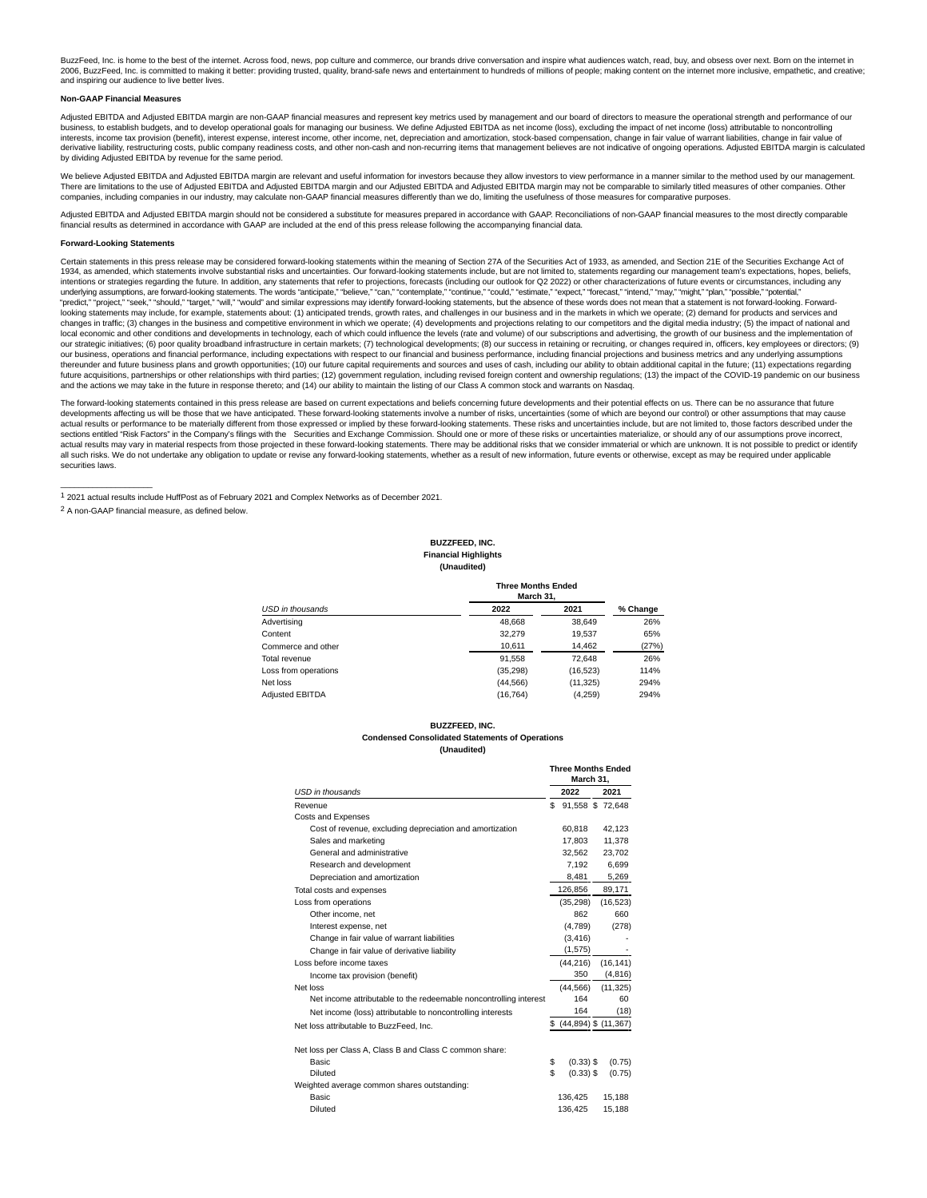BuzzFeed, Inc. is home to the best of the internet. Across food, news, pop culture and commerce, our brands drive conversation and inspire what audiences watch, read, buy, and obsess over next. Born on the internet in 2006, BuzzFeed, Inc. is committed to making it better: providing trusted, quality, brand-safe news and entertainment to hundreds of millions of people; making content on the internet more inclusive, empathetic, and creative; and inspiring our audience to live better lives.

### **Non-GAAP Financial Measures**

Adjusted EBITDA and Adjusted EBITDA margin are non-GAAP financial measures and represent key metrics used by management and our board of directors to measure the operational strength and performance of our business, to establish budgets, and to develop operational goals for managing our business. We define Adjusted EBITDA as net income (loss), excluding the impact of net income (loss) attributable to noncontrolling interests, income tax provision (benefit), interest expense, interest income, other income, net, depreciation and amortization, stock-based compensation, change in fair value of warrant liabilities, change in fair value of derivative liability, restructuring costs, public company readiness costs, and other non-cash and non-recurring items that management believes are not indicative of ongoing operations. Adjusted EBITDA margin is calculated by dividing Adjusted EBITDA by revenue for the same period.

We believe Adjusted EBITDA and Adjusted EBITDA margin are relevant and useful information for investors because they allow investors to view performance in a manner similar to the method used by our management. There are limitations to the use of Adjusted EBITDA and Adjusted EBITDA and Adjusted EBITDA and Adjusted EBITDA margin may not be comparable to similarly titled measures of other companies. Other<br>companies, including compa

Adjusted EBITDA and Adjusted EBITDA margin should not be considered a substitute for measures prepared in accordance with GAAP. Reconciliations of non-GAAP financial measures to the most directly comparable financial results as determined in accordance with GAAP are included at the end of this press release following the accompanying financial data.

### **Forward-Looking Statements**

 $\_$ 

Certain statements in this press release may be considered forward-looking statements within the meaning of Section 27A of the Securities Act of 1933, as amended, and Section 21E of the Securities Exchange Act of 1934, as amended, which statements involve substantial risks and uncertainties. Our forward-looking statements include, but are not limited to, statements regarding our management team's expectations, hopes, beliefs, intentions or strategies regarding the future. In addition, any statements that refer to projections, forecasts (including our outlook for Q2 2022) or other characterizations of future events or circumstances, including an "predict," "project," "seek," "should," "target," "will," "would" and similar expressions may identify forward-looking statements, but the absence of these words does not mean that a statement is not forward-looking. Forwa looking statements may include, for example, statements about: (1) anticipated trends, growth rates, and challenges in our business and in the markets in which we operate; (2) demand for products and services and changes in traffic; (3) changes in the business and competitive environment in which we operate; (4) developments and projections relating to our competitors and the digital media industry; (5) the impact of national and local economic and other conditions and developments in technology, each of which could influence the levels (rate and volume) of our subscriptions and advertising, the growth of our business and the implementation of our strategic initiatives; (6) poor quality broadband infrastructure in certain markets; (7) technological developments; (8) our success in retaining or recruiting, or changes required in, officers, key employees or direct our business, operations and financial performance, including expectations with respect to our financial and business performance, including financial projections and business metrics and any underlying assumptions<br>thereun future acquisitions, partnerships or other relationships with third parties; (12) government regulation, including revised foreign content and ownership regulations; (13) the impact of the COVID-19 pandemic on our business and the actions we may take in the future in response thereto; and (14) our ability to maintain the listing of our Class A common stock and warrants on Nasdaq.

The forward-looking statements contained in this press release are based on current expectations and beliefs concerning future developments and their potential effects on us. There can be no assurance that future developments affecting us will be those that we have anticipated. These forward-looking statements involve a number of risks, uncertainties (some of which are beyond our control) or other assumptions that may cause actual results or performance to be materially different from those expressed or implied by these forward-looking statements. These risks and uncertainties include, but are not limited to, those factors described under the sections entitled "Risk Factors" in the Company's filings with the Securities and Exchange Commission. Should one or more of these risks or uncertainties materialize, or should any of our assumptions prove incorrect,<br>actua all such risks. We do not undertake any obligation to update or revise any forward-looking statements, whether as a result of new information, future events or otherwise, except as may be required under applicable securities laws.

1 2021 actual results include HuffPost as of February 2021 and Complex Networks as of December 2021. 2 A non-GAAP financial measure, as defined below.

### **BUZZFEED, INC. Financial Highlights (Unaudited)**

|                        | <b>Three Months Ended</b><br>March 31, |           |          |  |
|------------------------|----------------------------------------|-----------|----------|--|
| USD in thousands       | 2022                                   | 2021      | % Change |  |
| Advertising            | 48.668                                 | 38,649    | 26%      |  |
| Content                | 32,279                                 | 19.537    | 65%      |  |
| Commerce and other     | 10.611                                 | 14.462    | (27%)    |  |
| Total revenue          | 91.558                                 | 72.648    | 26%      |  |
| Loss from operations   | (35, 298)                              | (16, 523) | 114%     |  |
| Net loss               | (44, 566)                              | (11, 325) | 294%     |  |
| <b>Adiusted EBITDA</b> | (16, 764)                              | (4,259)   | 294%     |  |

### **BUZZFEED, INC.**

## **Condensed Consolidated Statements of Operations**

**(Unaudited)**

|                                                                   |     | <b>Three Months Ended</b><br>March 31. |  |           |
|-------------------------------------------------------------------|-----|----------------------------------------|--|-----------|
| <b>USD</b> in thousands                                           |     | 2022                                   |  | 2021      |
| Revenue                                                           | \$. | 91,558 \$ 72,648                       |  |           |
| Costs and Expenses                                                |     |                                        |  |           |
| Cost of revenue, excluding depreciation and amortization          |     | 60.818                                 |  | 42,123    |
| Sales and marketing                                               |     | 17.803                                 |  | 11.378    |
| General and administrative                                        |     | 32.562                                 |  | 23,702    |
| Research and development                                          |     | 7.192                                  |  | 6.699     |
| Depreciation and amortization                                     |     | 8,481                                  |  | 5,269     |
| Total costs and expenses                                          |     | 126,856                                |  | 89,171    |
| Loss from operations                                              |     | (35, 298)                              |  | (16, 523) |
| Other income, net                                                 |     | 862                                    |  | 660       |
| Interest expense, net                                             |     | (4,789)                                |  | (278)     |
| Change in fair value of warrant liabilities                       |     | (3, 416)                               |  |           |
| Change in fair value of derivative liability                      |     | (1,575)                                |  |           |
| Loss before income taxes                                          |     | (44, 216)                              |  | (16, 141) |
| Income tax provision (benefit)                                    |     | 350                                    |  | (4, 816)  |
| Net loss                                                          |     | (44.566)                               |  | (11, 325) |
| Net income attributable to the redeemable noncontrolling interest |     | 164                                    |  | 60        |
| Net income (loss) attributable to noncontrolling interests        |     | 164                                    |  | (18)      |
| Net loss attributable to BuzzFeed, Inc.                           |     | $$$ (44,894) \$ (11,367)               |  |           |
| Net loss per Class A, Class B and Class C common share:           |     |                                        |  |           |
| <b>Basic</b>                                                      | \$  | $(0.33)$ \$                            |  | (0.75)    |
| Diluted                                                           | \$  | $(0.33)$ \$                            |  | (0.75)    |
| Weighted average common shares outstanding:                       |     |                                        |  |           |
| Basic                                                             |     | 136.425                                |  | 15.188    |
| Diluted                                                           |     | 136.425                                |  | 15.188    |